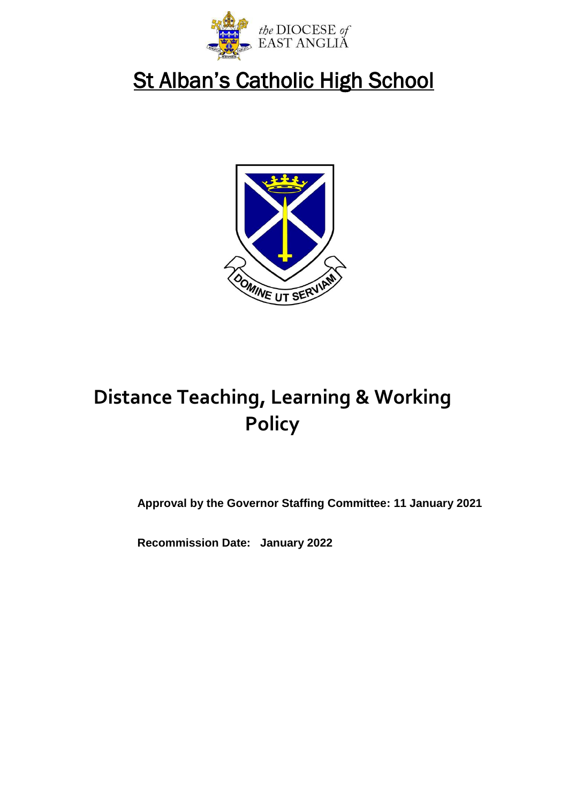

# St Alban's Catholic High School



# **Distance Teaching, Learning & Working Policy**

**Approval by the Governor Staffing Committee: 11 January 2021**

**Recommission Date: January 2022**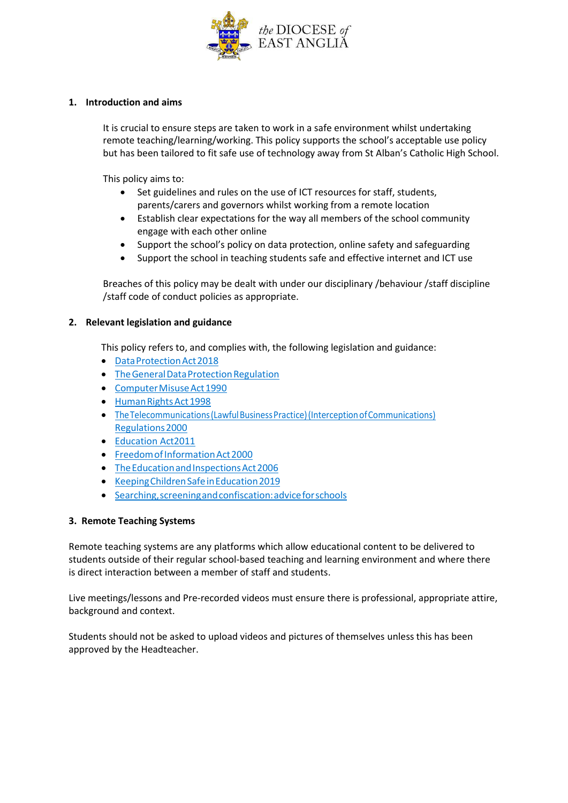

#### **1. Introduction and aims**

It is crucial to ensure steps are taken to work in a safe environment whilst undertaking remote teaching/learning/working. This policy supports the school's acceptable use policy but has been tailored to fit safe use of technology away from St Alban's Catholic High School.

This policy aims to:

- Set guidelines and rules on the use of ICT resources for staff, students, parents/carers and governors whilst working from a remote location
- Establish clear expectations for the way all members of the school community engage with each other online
- Support the school's policy on data protection, online safety and safeguarding
- Support the school in teaching students safe and effective internet and ICT use

Breaches of this policy may be dealt with under our disciplinary /behaviour /staff discipline /staff code of conduct policies as appropriate.

#### **2. Relevant legislation and guidance**

This policy refers to, and complies with, the following legislation and guidance:

- Data Protection Act 2018
- The General Data Protection Regulation
- Computer Misuse Act 1990
- Human Rights Act 1998
- The Telecommunications (Lawful Business Practice) (Interception of Communications) [Regulations2000](https://www.legislation.gov.uk/uksi/2000/2699/regulation/3/made)
- [Education Act2011](http://www.legislation.gov.uk/ukpga/2011/21/section/2/enacted)
- Freedom of Information Act 2000
- The Education and Inspections Act 2006
- Keeping Children Safe in Education 2019
- [Searching,screeningandconfiscation:adviceforschools](https://www.gov.uk/government/publications/searching-screening-and-confiscation)

#### **3. Remote Teaching Systems**

Remote teaching systems are any platforms which allow educational content to be delivered to students outside of their regular school-based teaching and learning environment and where there is direct interaction between a member of staff and students.

Live meetings/lessons and Pre-recorded videos must ensure there is professional, appropriate attire, background and context.

Students should not be asked to upload videos and pictures of themselves unless this has been approved by the Headteacher.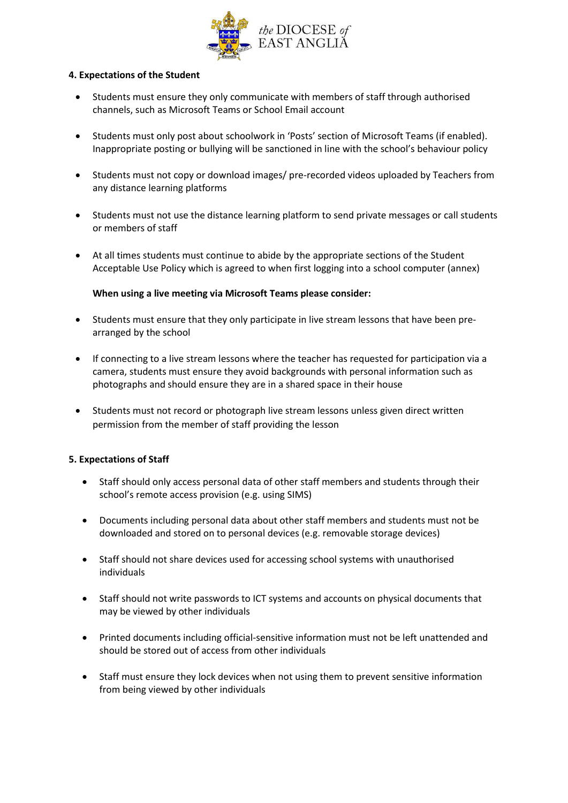

#### **4. Expectations of the Student**

- Students must ensure they only communicate with members of staff through authorised channels, such as Microsoft Teams or School Email account
- Students must only post about schoolwork in 'Posts' section of Microsoft Teams (if enabled). Inappropriate posting or bullying will be sanctioned in line with the school's behaviour policy
- Students must not copy or download images/ pre-recorded videos uploaded by Teachers from any distance learning platforms
- Students must not use the distance learning platform to send private messages or call students or members of staff
- At all times students must continue to abide by the appropriate sections of the Student Acceptable Use Policy which is agreed to when first logging into a school computer (annex)

### **When using a live meeting via Microsoft Teams please consider:**

- Students must ensure that they only participate in live stream lessons that have been prearranged by the school
- If connecting to a live stream lessons where the teacher has requested for participation via a camera, students must ensure they avoid backgrounds with personal information such as photographs and should ensure they are in a shared space in their house
- Students must not record or photograph live stream lessons unless given direct written permission from the member of staff providing the lesson

### **5. Expectations of Staff**

- Staff should only access personal data of other staff members and students through their school's remote access provision (e.g. using SIMS)
- Documents including personal data about other staff members and students must not be downloaded and stored on to personal devices (e.g. removable storage devices)
- Staff should not share devices used for accessing school systems with unauthorised individuals
- Staff should not write passwords to ICT systems and accounts on physical documents that may be viewed by other individuals
- Printed documents including official-sensitive information must not be left unattended and should be stored out of access from other individuals
- Staff must ensure they lock devices when not using them to prevent sensitive information from being viewed by other individuals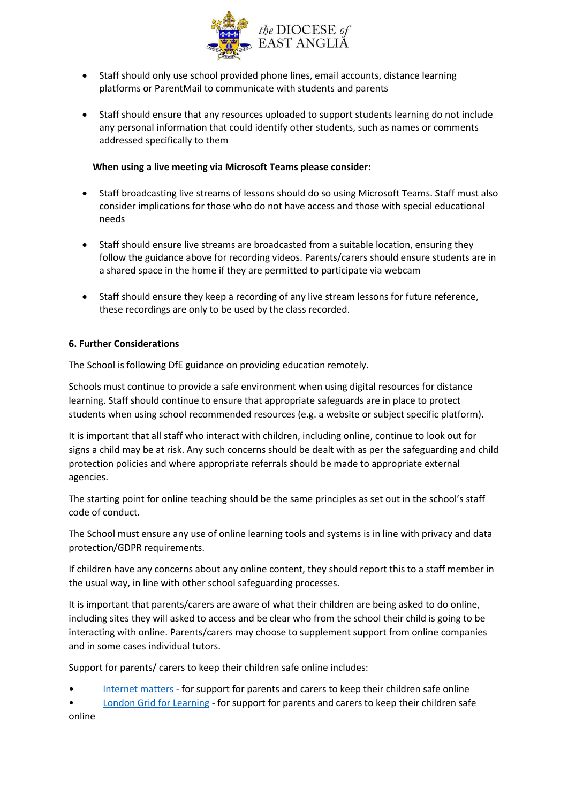

- Staff should only use school provided phone lines, email accounts, distance learning platforms or ParentMail to communicate with students and parents
- Staff should ensure that any resources uploaded to support students learning do not include any personal information that could identify other students, such as names or comments addressed specifically to them

#### **When using a live meeting via Microsoft Teams please consider:**

- Staff broadcasting live streams of lessons should do so using Microsoft Teams. Staff must also consider implications for those who do not have access and those with special educational needs
- Staff should ensure live streams are broadcasted from a suitable location, ensuring they follow the guidance above for recording videos. Parents/carers should ensure students are in a shared space in the home if they are permitted to participate via webcam
- Staff should ensure they keep a recording of any live stream lessons for future reference, these recordings are only to be used by the class recorded.

#### **6. Further Considerations**

The School is following DfE guidance on providing education remotely.

Schools must continue to provide a safe environment when using digital resources for distance learning. Staff should continue to ensure that appropriate safeguards are in place to protect students when using school recommended resources (e.g. a website or subject specific platform).

It is important that all staff who interact with children, including online, continue to look out for signs a child may be at risk. Any such concerns should be dealt with as per the safeguarding and child protection policies and where appropriate referrals should be made to appropriate external agencies.

The starting point for online teaching should be the same principles as set out in the school's staff code of conduct.

The School must ensure any use of online learning tools and systems is in line with privacy and data protection/GDPR requirements.

If children have any concerns about any online content, they should report this to a staff member in the usual way, in line with other school safeguarding processes.

It is important that parents/carers are aware of what their children are being asked to do online, including sites they will asked to access and be clear who from the school their child is going to be interacting with online. Parents/carers may choose to supplement support from online companies and in some cases individual tutors.

Support for parents/ carers to keep their children safe online includes:

- [Internet matters](https://www.internetmatters.org/) for support for parents and carers to keep their children safe online
- [London Grid for Learning](https://www.lgfl.net/) for support for parents and carers to keep their children safe online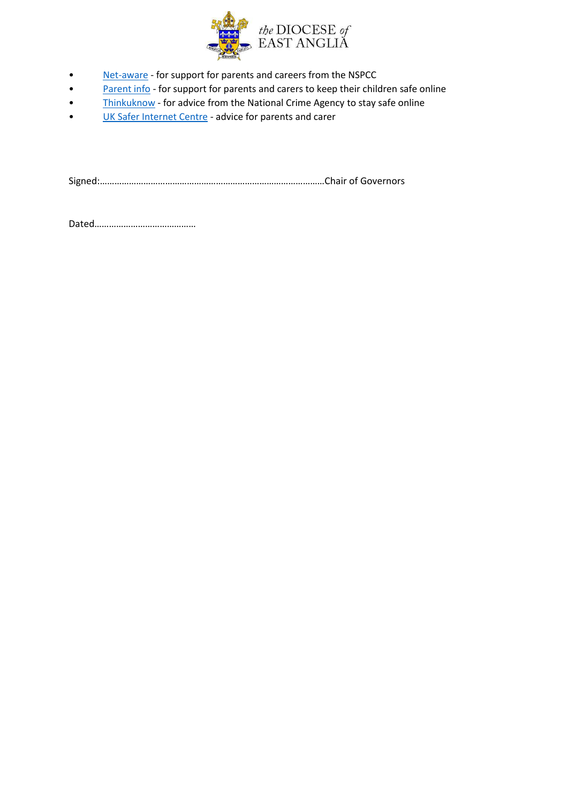

- [Net-aware](https://www.net-aware.org.uk/) for support for parents and careers from the NSPCC
- [Parent info](https://parentinfo.org/) for support for parents and carers to keep their children safe online
- [Thinkuknow](https://www.thinkuknow.co.uk/) for advice from the National Crime Agency to stay safe online
- [UK Safer Internet Centre](https://www.saferinternet.org.uk/) advice for parents and carer

Signed:…………………………………………………………………………………Chair of Governors

Dated……………………………………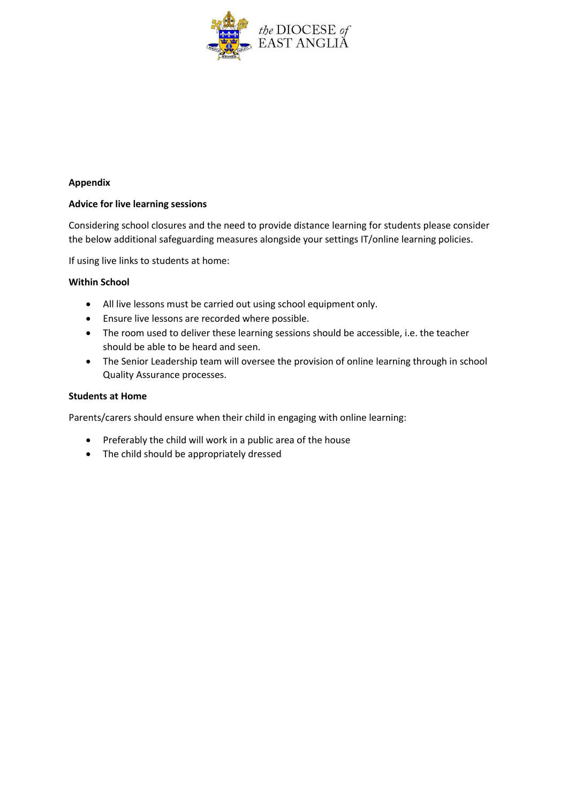

#### **Appendix**

#### **Advice for live learning sessions**

Considering school closures and the need to provide distance learning for students please consider the below additional safeguarding measures alongside your settings IT/online learning policies.

If using live links to students at home:

#### **Within School**

- All live lessons must be carried out using school equipment only.
- Ensure live lessons are recorded where possible.
- The room used to deliver these learning sessions should be accessible, i.e. the teacher should be able to be heard and seen.
- The Senior Leadership team will oversee the provision of online learning through in school Quality Assurance processes.

#### **Students at Home**

Parents/carers should ensure when their child in engaging with online learning:

- Preferably the child will work in a public area of the house
- The child should be appropriately dressed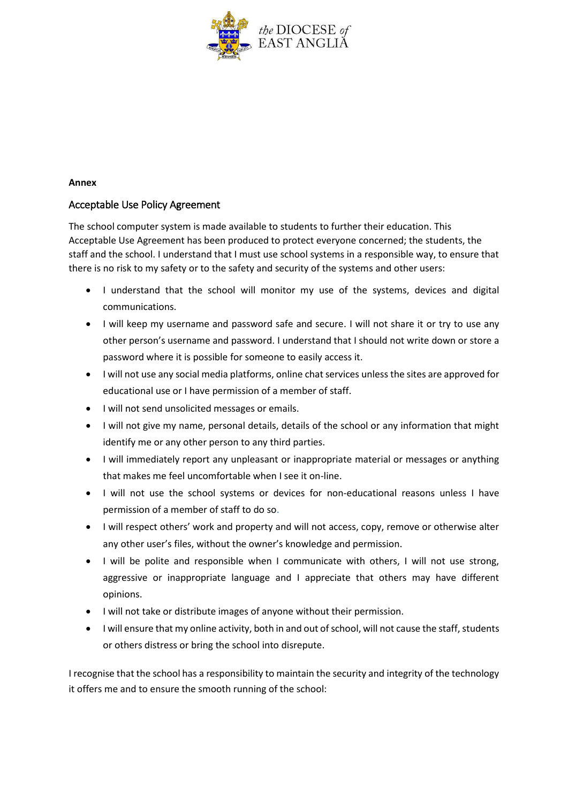

#### **Annex**

## Acceptable Use Policy Agreement

The school computer system is made available to students to further their education. This Acceptable Use Agreement has been produced to protect everyone concerned; the students, the staff and the school. I understand that I must use school systems in a responsible way, to ensure that there is no risk to my safety or to the safety and security of the systems and other users:

- I understand that the school will monitor my use of the systems, devices and digital communications.
- I will keep my username and password safe and secure. I will not share it or try to use any other person's username and password. I understand that I should not write down or store a password where it is possible for someone to easily access it.
- I will not use any social media platforms, online chat services unless the sites are approved for educational use or I have permission of a member of staff.
- I will not send unsolicited messages or emails.
- I will not give my name, personal details, details of the school or any information that might identify me or any other person to any third parties.
- I will immediately report any unpleasant or inappropriate material or messages or anything that makes me feel uncomfortable when I see it on-line.
- I will not use the school systems or devices for non-educational reasons unless I have permission of a member of staff to do so.
- I will respect others' work and property and will not access, copy, remove or otherwise alter any other user's files, without the owner's knowledge and permission.
- I will be polite and responsible when I communicate with others, I will not use strong, aggressive or inappropriate language and I appreciate that others may have different opinions.
- I will not take or distribute images of anyone without their permission.
- I will ensure that my online activity, both in and out of school, will not cause the staff, students or others distress or bring the school into disrepute.

I recognise that the school has a responsibility to maintain the security and integrity of the technology it offers me and to ensure the smooth running of the school: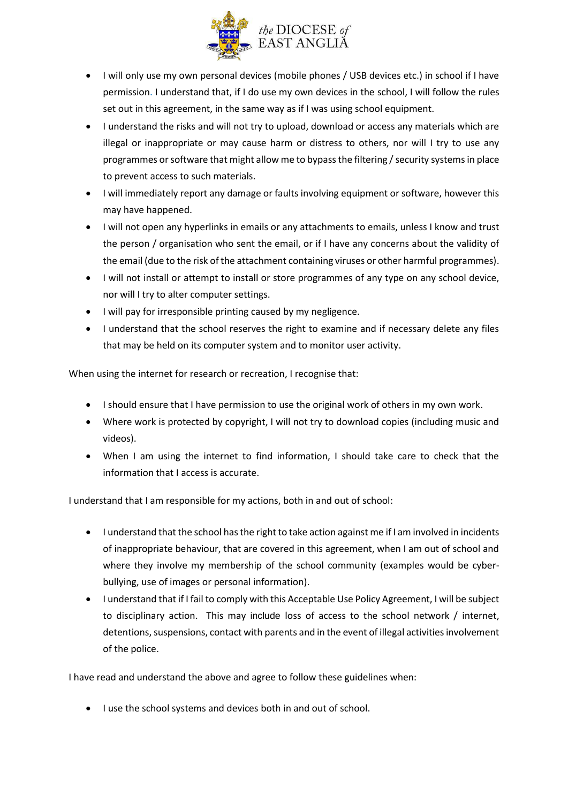

- I will only use my own personal devices (mobile phones / USB devices etc.) in school if I have permission. I understand that, if I do use my own devices in the school, I will follow the rules set out in this agreement, in the same way as if I was using school equipment.
- I understand the risks and will not try to upload, download or access any materials which are illegal or inappropriate or may cause harm or distress to others, nor will I try to use any programmes or software that might allow me to bypass the filtering / security systems in place to prevent access to such materials.
- I will immediately report any damage or faults involving equipment or software, however this may have happened.
- I will not open any hyperlinks in emails or any attachments to emails, unless I know and trust the person / organisation who sent the email, or if I have any concerns about the validity of the email (due to the risk of the attachment containing viruses or other harmful programmes).
- I will not install or attempt to install or store programmes of any type on any school device, nor will I try to alter computer settings.
- I will pay for irresponsible printing caused by my negligence.
- I understand that the school reserves the right to examine and if necessary delete any files that may be held on its computer system and to monitor user activity.

When using the internet for research or recreation, I recognise that:

- I should ensure that I have permission to use the original work of others in my own work.
- Where work is protected by copyright, I will not try to download copies (including music and videos).
- When I am using the internet to find information, I should take care to check that the information that I access is accurate.

I understand that I am responsible for my actions, both in and out of school:

- I understand that the school has the right to take action against me if I am involved in incidents of inappropriate behaviour, that are covered in this agreement, when I am out of school and where they involve my membership of the school community (examples would be cyberbullying, use of images or personal information).
- I understand that if I fail to comply with this Acceptable Use Policy Agreement, I will be subject to disciplinary action. This may include loss of access to the school network / internet, detentions, suspensions, contact with parents and in the event of illegal activities involvement of the police.

I have read and understand the above and agree to follow these guidelines when:

 $\bullet$  I use the school systems and devices both in and out of school.